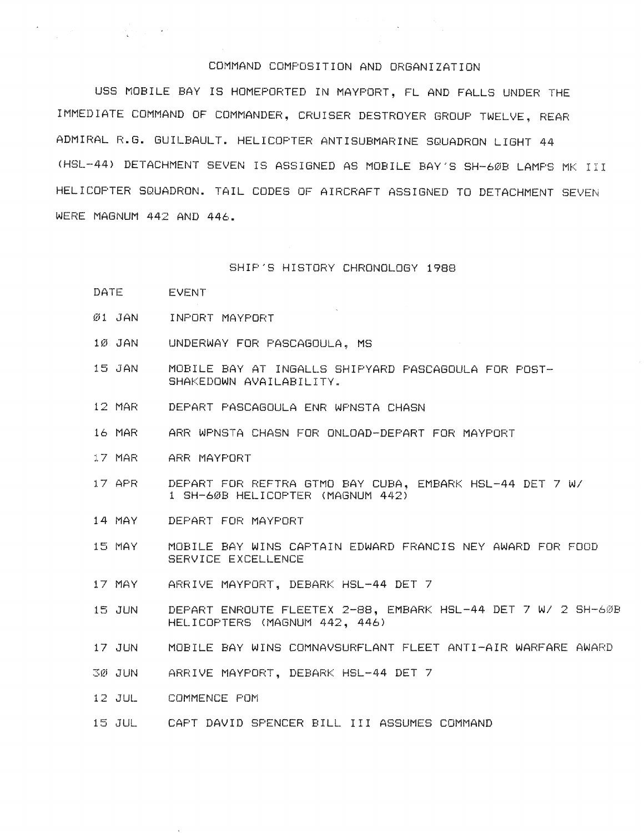## COMMAND COMPOSITION AND ORGANIZATION

USS MOBILE BAY IS HOMEPORTED IN MAYPORT, FL AND FALLS UNDER THE IMMEDIATE COMMAND OF COMMANDER, CRUISER DESTROYER GROUP TWELVE, REAR ADMIRAL R.G. GUILBAULT. HELICOPTER ANTISUBMARINE SQUADRON LIGHT 44 (HSL-44) DETACHMENT SEVEN IS ASSIGNED AS MOBILE BAY'S SH-60B LAMPS MK III HELICOPTER SQUADRON. TAIL CODES OF AIRCRAFT ASSIGNED TO DETACHMENT SEVEN WERE MAGNUM 442 AND 446.

## SHIP'S HISTORY CHRONOLOGY 1988

DATE **EVENT** 

 $\label{eq:2.1} \frac{1}{2} \left( \frac{1}{2} \sum_{i=1}^n \frac{1}{2} \left( \frac{1}{2} \sum_{i=1}^n \frac{1}{2} \right) \right)^2 \left( \frac{1}{2} \sum_{i=1}^n \frac{1}{2} \sum_{i=1}^n \frac{1}{2} \right)^2 \, .$ 

- $Ø1$   $JAN$ INPORT MAYPORT
- 1Ø JAN UNDERWAY FOR PASCAGOULA, MS
- 15 JAN MOBILE BAY AT INGALLS SHIPYARD PASCAGOULA FOR POST-SHAKEDOWN AVAILABILITY.
- 12 MAR DEPART PASCAGOULA ENR WPNSTA CHASN
- ARR WPNSTA CHASN FOR ONLOAD-DEPART FOR MAYPORT 16 MAR
- 17 MAR ARR MAYPORT
- 17 APR DEPART FOR REFTRA GTMO BAY CUBA, EMBARK HSL-44 DET 7 W/ 1 SH-60B HELICOPTER (MAGNUM 442)
- 14 MAY DEPART FOR MAYPORT
- MOBILE BAY WINS CAPTAIN EDWARD FRANCIS NEY AWARD FOR FOOD 15 MAY SERVICE EXCELLENCE
- 17 MAY ARRIVE MAYFORT, DEBARK HSL-44 DET 7
- DEPART ENROUTE FLEETEX 2-88, EMBARK HSL-44 DET 7 W/ 2 SH-60B 15 JUN HELICOPTERS (MAGNUM 442, 446)
- 17 JUN MOBILE BAY WINS COMNAVSURFLANT FLEET ANTI-AIR WARFARE AWARD
- ARRIVE MAYPORT, DEBARK HSL-44 DET 7 3Ø JUN
- 12 JUL COMMENCE POM
- 15 JUL CAPT DAVID SPENCER BILL III ASSUMES COMMAND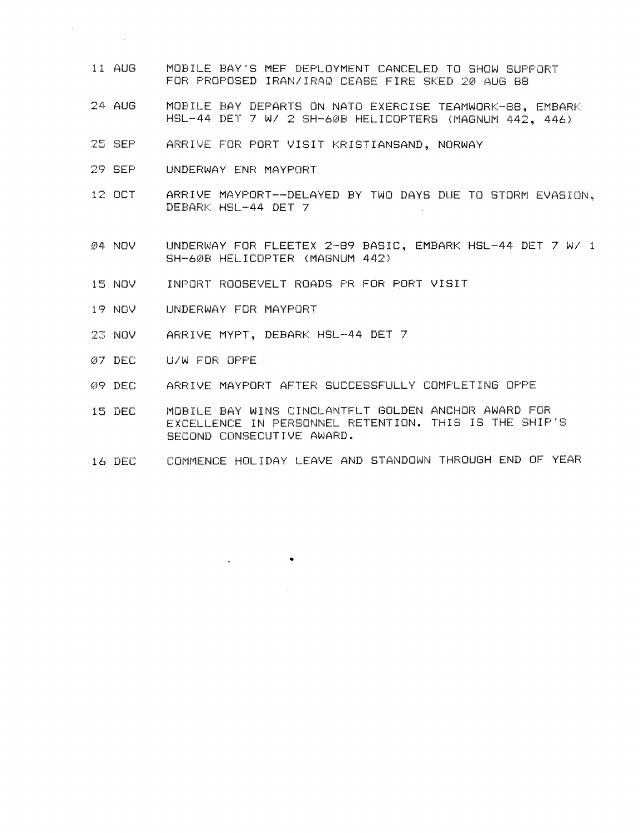- $11$  AUG MOBILE BAY'S MEF DEPLOYMENT CANCELED TO SHOW SUPPORT FOR PROPOSED IRAN/IRAQ CEASE FIRE SKED 20 AUG 88
- $24$  AUG MOBILE BAY DEPARTS ON NATO EXERCISE TEAMWORK-88, EMBARK HSL-44 DET 7 W/ 2 SH-60B HELICOPTERS (MAGNUM 442, 446)
- 25 SEP ARRIVE FOR PORT VISIT KRISTIANSAND, NORWAY
- 29 SEP UNDERWAY ENR MAYPORT

 $\mathcal{L}^{\text{max}}_{\text{max}}$  ,  $\mathcal{L}^{\text{max}}_{\text{max}}$ 

- 12 OCT ARRIVE MAYPORT--DELAYED BY TWO DAYS DUE TO STORM EVASION, DEBARK HSL-44 DET 7
- UNDERWAY FOR FLEETEX 2-89 BASIC, EMBARK HSL-44 DET 7 W/ 1 Ø4 NOV SH-60B HELICOPTER (MAGNUM 442)
- 15 NOV INPORT ROOSEVELT ROADS PR FOR PORT VISIT
- 19 NOV UNDERWAY FOR MAYPORT
- 23 NOV ARRIVE MYPT, DEBARK HSL-44 DET 7
- Ø7 DEC U/W FOR OPPE
- ARRIVE MAYPORT AFTER SUCCESSFULLY COMPLETING OPPE 09 DEC
- MOBILE BAY WINS CINCLANTFLT GOLDEN ANCHOR AWARD FOR 15 DEC EXCELLENCE IN PERSONNEL RETENTION. THIS IS THE SHIP'S SECOND CONSECUTIVE AWARD.
- COMMENCE HOLIDAY LEAVE AND STANDOWN THROUGH END OF YEAR 16 DEC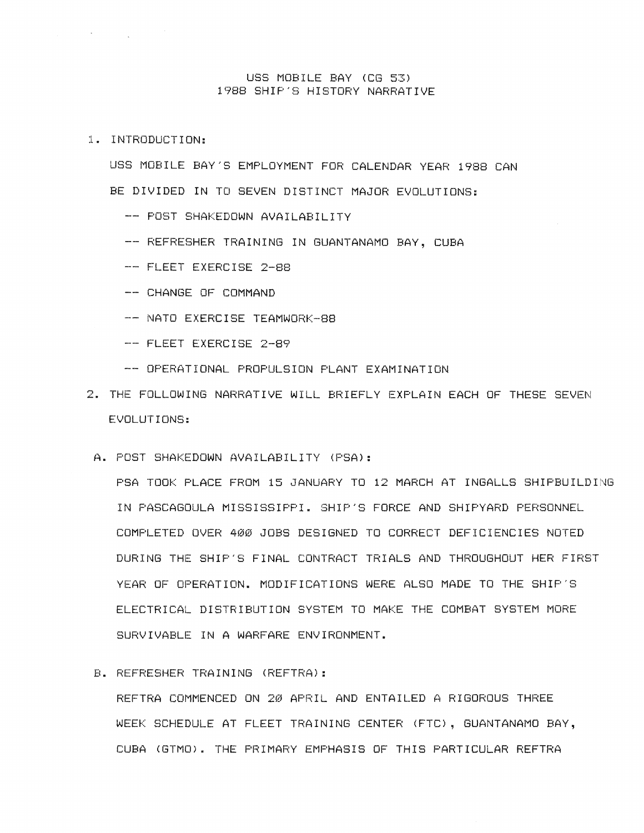## USS MOBILE BAY (CG 53) 1988 SHIP'S HISTORY NARRATIVE

1. INTRODUCTION:

 $\label{eq:2.1} \frac{1}{2} \sum_{i=1}^n \frac{1}{2} \sum_{i=1}^n \frac{1}{2} \sum_{i=1}^n \frac{1}{2} \sum_{i=1}^n \frac{1}{2} \sum_{i=1}^n \frac{1}{2} \sum_{i=1}^n \frac{1}{2} \sum_{i=1}^n \frac{1}{2} \sum_{i=1}^n \frac{1}{2} \sum_{i=1}^n \frac{1}{2} \sum_{i=1}^n \frac{1}{2} \sum_{i=1}^n \frac{1}{2} \sum_{i=1}^n \frac{1}{2} \sum_{i=1}^n \frac{$ 

USS MOBILE BAY'S EMPLOYMENT FOR CALENDAR YEAR 1988 CAN BE DIVIDED IN TO SEVEN DISTINCT MAJOR EVOLUTIONS:

- -- POST SHAKEDOWN AVAILABILITY
- -- REFRESHER TRAINING IN GUANTANAMO BAY, CUBA
- -- FLEET EXERCISE 2-88
- -- CHANGE OF COMMAND
- -- NATO EXERCISE TEAMWORK-88
- -- FLEET EXERCISE 2-89
- -- OPERATIONAL PROPULSION PLANT EXAMINATION
- 2. THE FOLLOWING NARRATIVE WILL BRIEFLY EXPLAIN EACH OF THESE SEVEN EVOLUTIONS:
- A. POST SHAKEDOWN AVAILABILITY (PSA):

PSA TOOK PLACE FROM 15 JANUARY TO 12 MARCH AT INGALLS SHIPBUILDING IN PASCAGOULA MISSISSIPPI. SHIP'S FORCE AND SHIPYARD PERSONNEL COMPLETED OVER 400 JOBS DESIGNED TO CORRECT DEFICIENCIES NOTED DURING THE SHIP'S FINAL CONTRACT TRIALS AND THROUGHOUT HER FIRST YEAR OF OPERATION, MODIFICATIONS WERE ALSO MADE TO THE SHIP'S ELECTRICAL DISTRIBUTION SYSTEM TO MAKE THE COMBAT SYSTEM MORE SURVIVABLE IN A WARFARE ENVIRONMENT.

## B. REFRESHER TRAINING (REFTRA):

REFTRA COMMENCED ON 20 APRIL AND ENTAILED A RIGOROUS THREE WEEK SCHEDULE AT FLEET TRAINING CENTER (FTC), GUANTANAMO BAY, CUBA (GTMO). THE PRIMARY EMPHASIS OF THIS PARTICULAR REFTRA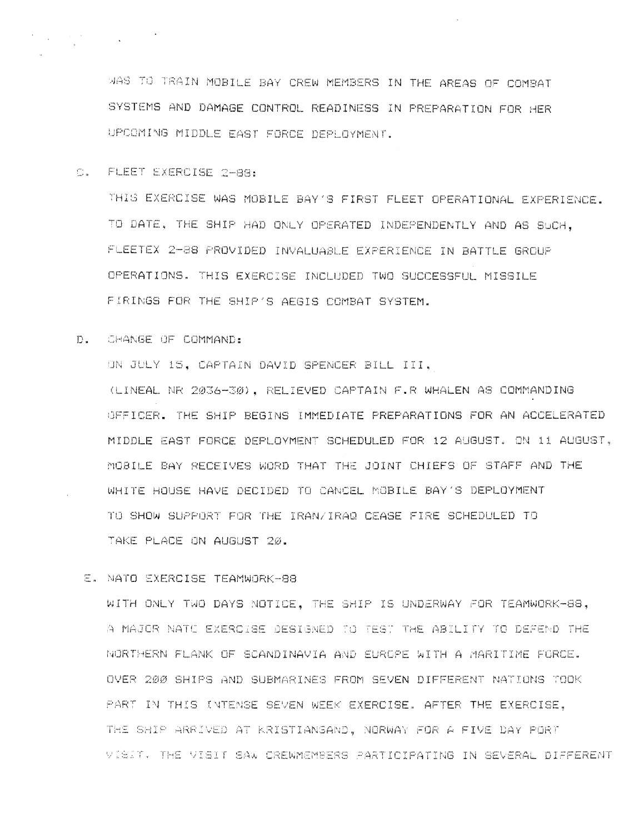MAS TO TRAIN MOBILE BAY CREW MEMBERS IN THE AREAS OF COMBAT SYSTEMS AND DAMAGE CONTROL READINESS IN PREPARATION FOR HER UPCOMING MIDDLE EAST FORCE DEPLOYMENT.

C. FLEET EXERCISE 2-88:

THIS EXERCISE WAS MOBILE BAY'S FIRST FLEET OPERATIONAL EXPERIENCE. TO DATE, THE SHIP HAD ONLY OPERATED INDEPENDENTLY AND AS SUCH, FLEETEX 2-88 PROVIDED INVALUABLE EXPERIENCE IN BATTLE GROUP OPERATIONS. THIS EXERCISE INCLUDED TWO SUCCESSFUL MISSILE FIRINGS FOR THE SHIP'S AEGIS COMBAT SYSTEM.

D. CHANGE OF COMMAND:

ON JULY 15, CAPTAIN DAVID SPENCER BILL III,

(LINEAL NR 2036-30), RELIEVED CAPTAIN F.R WHALEN AS COMMANDING OFFICER. THE SHIP BEGINS IMMEDIATE PREPARATIONS FOR AN ACCELERATED MIDDLE EAST FORCE DEPLOYMENT SCHEDULED FOR 12 AUGUST. ON 11 AUGUST, MOBILE BAY RECEIVES WORD THAT THE JOINT CHIEFS OF STAFF AND THE WHITE HOUSE HAVE DECIDED TO CANCEL MOBILE BAY'S DEPLOYMENT TO SHOW SUPPORT FOR THE IRAN/IRAQ CEASE FIRE SCHEDULED TO TAKE PLACE ON AUGUST 20.

E. NATO EXERCISE TEAMWORK-88

WITH ONLY TWO DAYS NOTICE, THE SHIP IS UNDERWAY FOR TEAMWORK-88, A MAJOR NATO EXERCISE DESIGNED TO TEST THE ABILITY TO DEFEND THE NORTHERN FLANK OF SCANDINAVIA AND EUROPE WITH A MARITIME FORCE. OVER 200 SHIPS AND SUBMARINES FROM SEVEN DIFFERENT NATIONS TOOK PART IN THIS INTENSE SEVEN WEEK EXERCISE. AFTER THE EXERCISE. THE SHIP ARRIVED AT KRISTIANSAND, NORWAY FOR A FIVE DAY PORT VISIT. THE VISIT SAW CREWMEMBERS PARTICIPATING IN SEVERAL DIFFERENT